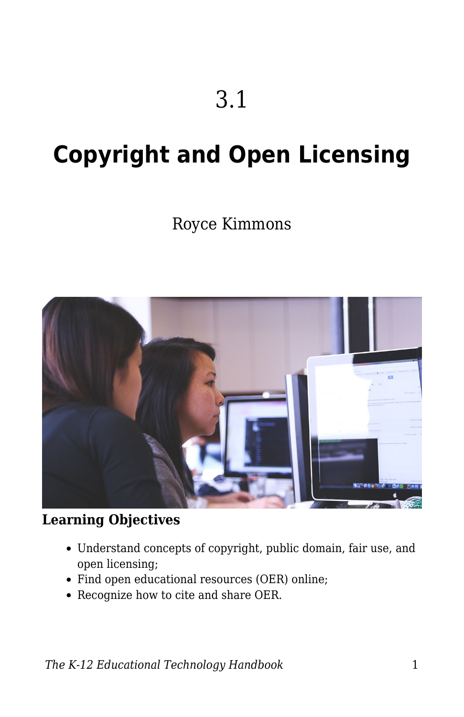# **Copyright and Open Licensing**

# Royce Kimmons



## **Learning Objectives**

- Understand concepts of copyright, public domain, fair use, and open licensing;
- Find open educational resources (OER) online;
- Recognize how to cite and share OER.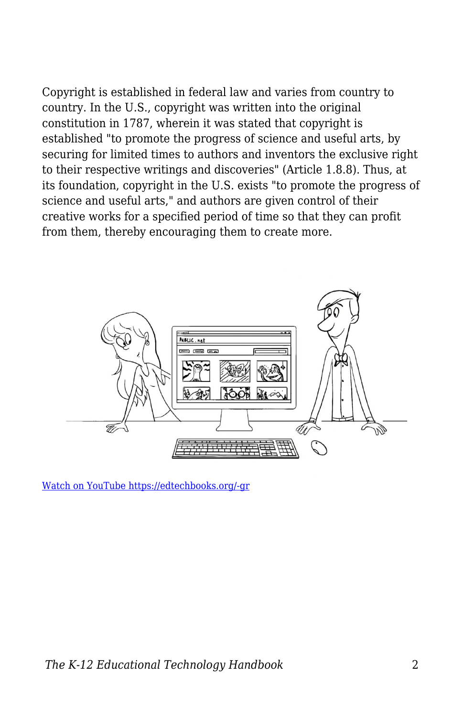Copyright is established in federal law and varies from country to country. In the U.S., copyright was written into the original constitution in 1787, wherein it was stated that copyright is established "to promote the progress of science and useful arts, by securing for limited times to authors and inventors the exclusive right to their respective writings and discoveries" (Article 1.8.8). Thus, at its foundation, copyright in the U.S. exists "to promote the progress of science and useful arts," and authors are given control of their creative works for a specified period of time so that they can profit from them, thereby encouraging them to create more.



[Watch on YouTube https://edtechbooks.org/-gr](https://www.youtube.com/embed/-9H6Ksp36q0?autoplay=1&rel=0&showinfo=0&modestbranding=1)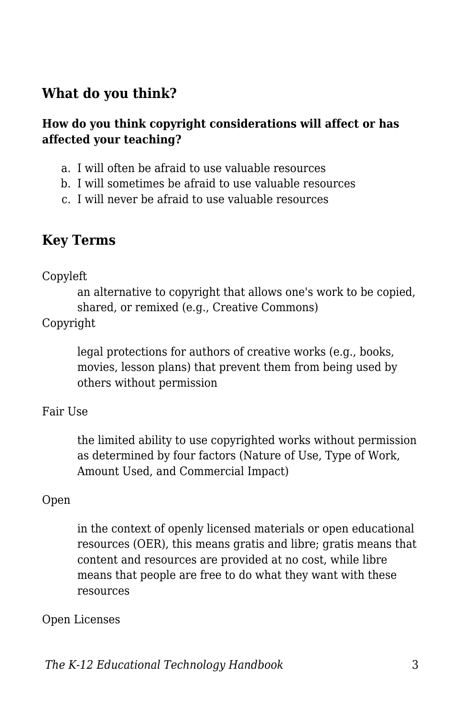## **What do you think?**

#### **How do you think copyright considerations will affect or has affected your teaching?**

- a. I will often be afraid to use valuable resources
- b. I will sometimes be afraid to use valuable resources
- c. I will never be afraid to use valuable resources

## **Key Terms**

#### Copyleft

an alternative to copyright that allows one's work to be copied, shared, or remixed (e.g., Creative Commons)

#### Copyright

legal protections for authors of creative works (e.g., books, movies, lesson plans) that prevent them from being used by others without permission

#### Fair Use

the limited ability to use copyrighted works without permission as determined by four factors (Nature of Use, Type of Work, Amount Used, and Commercial Impact)

#### Open

in the context of openly licensed materials or open educational resources (OER), this means gratis and libre; gratis means that content and resources are provided at no cost, while libre means that people are free to do what they want with these resources

#### Open Licenses

*The K-12 Educational Technology Handbook* 3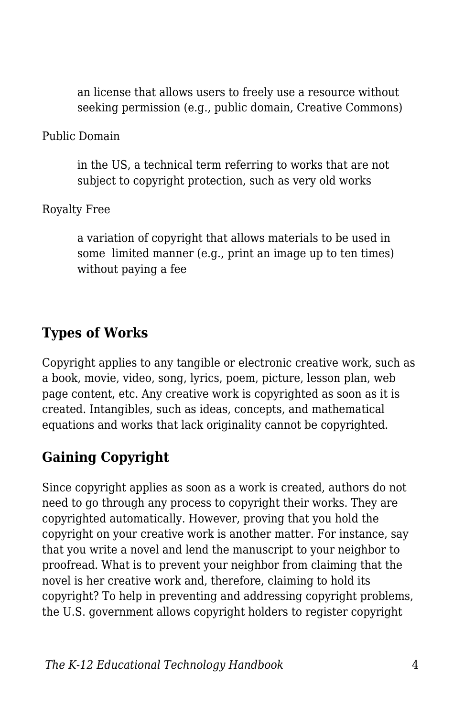an license that allows users to freely use a resource without seeking permission (e.g., public domain, Creative Commons)

Public Domain

in the US, a technical term referring to works that are not subject to copyright protection, such as very old works

Royalty Free

a variation of copyright that allows materials to be used in some limited manner (e.g., print an image up to ten times) without paying a fee

## **Types of Works**

Copyright applies to any tangible or electronic creative work, such as a book, movie, video, song, lyrics, poem, picture, lesson plan, web page content, etc. Any creative work is copyrighted as soon as it is created. Intangibles, such as ideas, concepts, and mathematical equations and works that lack originality cannot be copyrighted.

# **Gaining Copyright**

Since copyright applies as soon as a work is created, authors do not need to go through any process to copyright their works. They are copyrighted automatically. However, proving that you hold the copyright on your creative work is another matter. For instance, say that you write a novel and lend the manuscript to your neighbor to proofread. What is to prevent your neighbor from claiming that the novel is her creative work and, therefore, claiming to hold its copyright? To help in preventing and addressing copyright problems, the U.S. government allows copyright holders to register copyright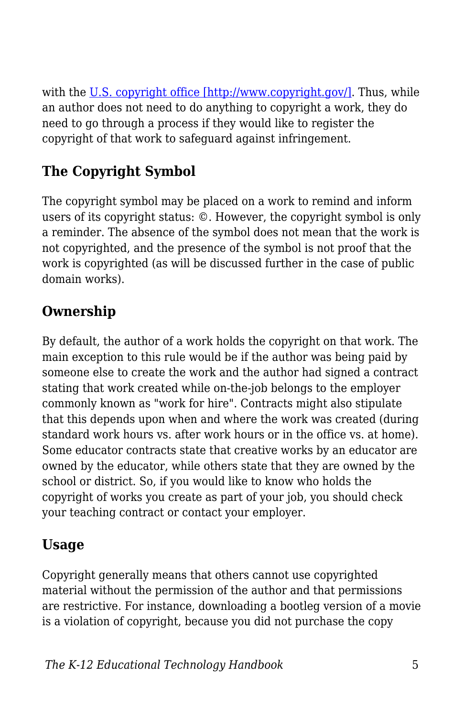with the [U.S. copyright office \[http://www.copyright.gov/\]](http://www.copyright.gov/). Thus, while an author does not need to do anything to copyright a work, they do need to go through a process if they would like to register the copyright of that work to safeguard against infringement.

# **The Copyright Symbol**

The copyright symbol may be placed on a work to remind and inform users of its copyright status: ©. However, the copyright symbol is only a reminder. The absence of the symbol does not mean that the work is not copyrighted, and the presence of the symbol is not proof that the work is copyrighted (as will be discussed further in the case of public domain works).

# **Ownership**

By default, the author of a work holds the copyright on that work. The main exception to this rule would be if the author was being paid by someone else to create the work and the author had signed a contract stating that work created while on-the-job belongs to the employer commonly known as "work for hire". Contracts might also stipulate that this depends upon when and where the work was created (during standard work hours vs. after work hours or in the office vs. at home). Some educator contracts state that creative works by an educator are owned by the educator, while others state that they are owned by the school or district. So, if you would like to know who holds the copyright of works you create as part of your job, you should check your teaching contract or contact your employer.

# **Usage**

Copyright generally means that others cannot use copyrighted material without the permission of the author and that permissions are restrictive. For instance, downloading a bootleg version of a movie is a violation of copyright, because you did not purchase the copy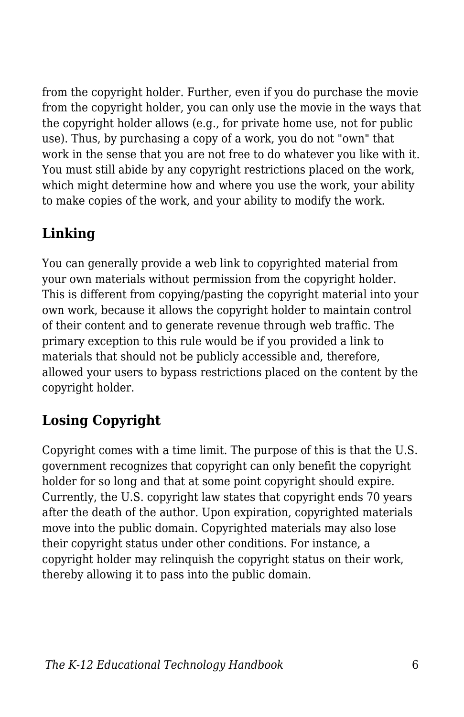from the copyright holder. Further, even if you do purchase the movie from the copyright holder, you can only use the movie in the ways that the copyright holder allows (e.g., for private home use, not for public use). Thus, by purchasing a copy of a work, you do not "own" that work in the sense that you are not free to do whatever you like with it. You must still abide by any copyright restrictions placed on the work, which might determine how and where you use the work, your ability to make copies of the work, and your ability to modify the work.

# **Linking**

You can generally provide a web link to copyrighted material from your own materials without permission from the copyright holder. This is different from copying/pasting the copyright material into your own work, because it allows the copyright holder to maintain control of their content and to generate revenue through web traffic. The primary exception to this rule would be if you provided a link to materials that should not be publicly accessible and, therefore, allowed your users to bypass restrictions placed on the content by the copyright holder.

# **Losing Copyright**

Copyright comes with a time limit. The purpose of this is that the U.S. government recognizes that copyright can only benefit the copyright holder for so long and that at some point copyright should expire. Currently, the U.S. copyright law states that copyright ends 70 years after the death of the author. Upon expiration, copyrighted materials move into the public domain. Copyrighted materials may also lose their copyright status under other conditions. For instance, a copyright holder may relinquish the copyright status on their work, thereby allowing it to pass into the public domain.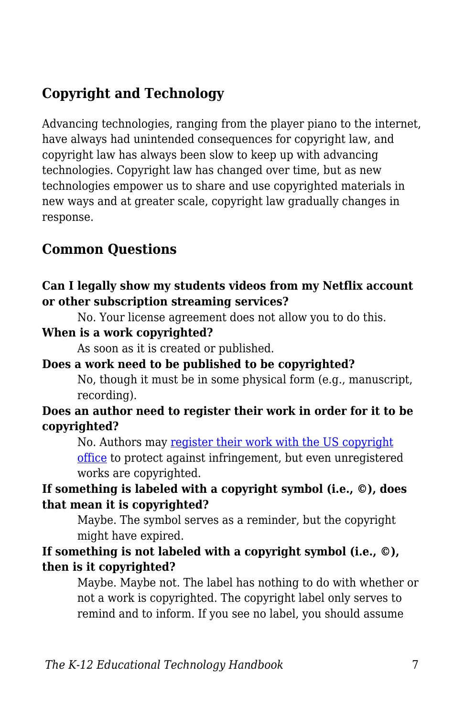## **Copyright and Technology**

Advancing technologies, ranging from the player piano to the internet, have always had unintended consequences for copyright law, and copyright law has always been slow to keep up with advancing technologies. Copyright law has changed over time, but as new technologies empower us to share and use copyrighted materials in new ways and at greater scale, copyright law gradually changes in response.

## **Common Questions**

#### **Can I legally show my students videos from my Netflix account or other subscription streaming services?**

No. Your license agreement does not allow you to do this.

### **When is a work copyrighted?**

As soon as it is created or published.

#### **Does a work need to be published to be copyrighted?**

No, though it must be in some physical form (e.g., manuscript, recording).

#### **Does an author need to register their work in order for it to be copyrighted?**

No. Authors may [register their work with the US copyright](http://www.copyright.gov/help/faq/faq-register.html) [office](http://www.copyright.gov/help/faq/faq-register.html) to protect against infringement, but even unregistered works are copyrighted.

## **If something is labeled with a copyright symbol (i.e., ©), does that mean it is copyrighted?**

Maybe. The symbol serves as a reminder, but the copyright might have expired.

### **If something is not labeled with a copyright symbol (i.e., ©), then is it copyrighted?**

Maybe. Maybe not. The label has nothing to do with whether or not a work is copyrighted. The copyright label only serves to remind and to inform. If you see no label, you should assume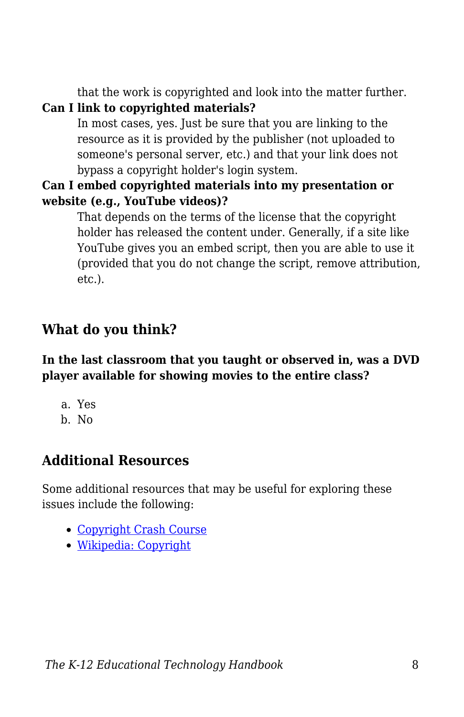that the work is copyrighted and look into the matter further.

## **Can I link to copyrighted materials?**

In most cases, yes. Just be sure that you are linking to the resource as it is provided by the publisher (not uploaded to someone's personal server, etc.) and that your link does not bypass a copyright holder's login system.

### **Can I embed copyrighted materials into my presentation or website (e.g., YouTube videos)?**

That depends on the terms of the license that the copyright holder has released the content under. Generally, if a site like YouTube gives you an embed script, then you are able to use it (provided that you do not change the script, remove attribution, etc.).

## **What do you think?**

## **In the last classroom that you taught or observed in, was a DVD player available for showing movies to the entire class?**

a. Yes b. No

# **Additional Resources**

Some additional resources that may be useful for exploring these issues include the following:

- [Copyright Crash Course](http://copyright.lib.utexas.edu/)
- [Wikipedia: Copyright](http://en.wikipedia.org/wiki/Copyright)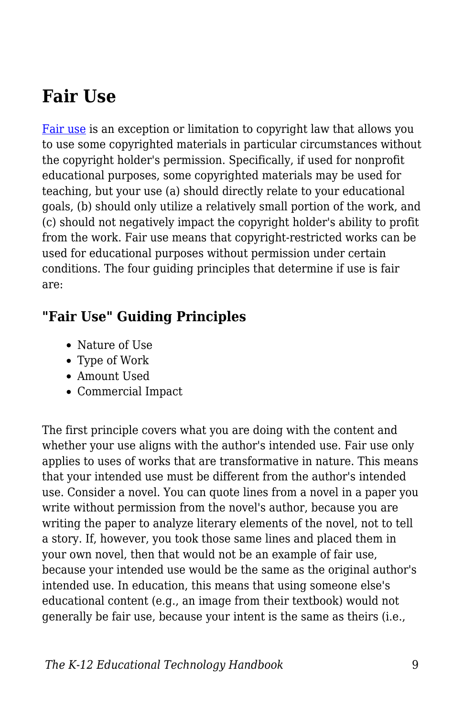# **Fair Use**

[Fair use](https://edtechbooks.org/k12handbook/glossary#fair_use) is an exception or limitation to copyright law that allows you to use some copyrighted materials in particular circumstances without the copyright holder's permission. Specifically, if used for nonprofit educational purposes, some copyrighted materials may be used for teaching, but your use (a) should directly relate to your educational goals, (b) should only utilize a relatively small portion of the work, and (c) should not negatively impact the copyright holder's ability to profit from the work. Fair use means that copyright-restricted works can be used for educational purposes without permission under certain conditions. The four guiding principles that determine if use is fair are:

## **"Fair Use" Guiding Principles**

- Nature of Use
- Type of Work
- Amount Used
- Commercial Impact

The first principle covers what you are doing with the content and whether your use aligns with the author's intended use. Fair use only applies to uses of works that are transformative in nature. This means that your intended use must be different from the author's intended use. Consider a novel. You can quote lines from a novel in a paper you write without permission from the novel's author, because you are writing the paper to analyze literary elements of the novel, not to tell a story. If, however, you took those same lines and placed them in your own novel, then that would not be an example of fair use, because your intended use would be the same as the original author's intended use. In education, this means that using someone else's educational content (e.g., an image from their textbook) would not generally be fair use, because your intent is the same as theirs (i.e.,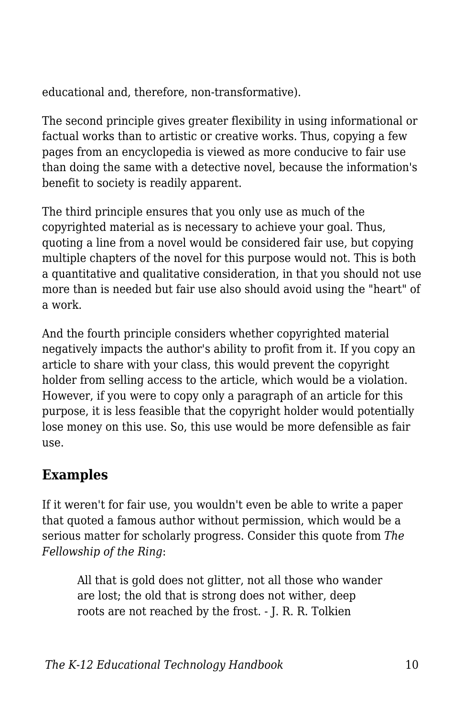educational and, therefore, non-transformative).

The second principle gives greater flexibility in using informational or factual works than to artistic or creative works. Thus, copying a few pages from an encyclopedia is viewed as more conducive to fair use than doing the same with a detective novel, because the information's benefit to society is readily apparent.

The third principle ensures that you only use as much of the copyrighted material as is necessary to achieve your goal. Thus, quoting a line from a novel would be considered fair use, but copying multiple chapters of the novel for this purpose would not. This is both a quantitative and qualitative consideration, in that you should not use more than is needed but fair use also should avoid using the "heart" of a work.

And the fourth principle considers whether copyrighted material negatively impacts the author's ability to profit from it. If you copy an article to share with your class, this would prevent the copyright holder from selling access to the article, which would be a violation. However, if you were to copy only a paragraph of an article for this purpose, it is less feasible that the copyright holder would potentially lose money on this use. So, this use would be more defensible as fair use.

# **Examples**

If it weren't for fair use, you wouldn't even be able to write a paper that quoted a famous author without permission, which would be a serious matter for scholarly progress. Consider this quote from *The Fellowship of the Ring*:

All that is gold does not glitter, not all those who wander are lost; the old that is strong does not wither, deep roots are not reached by the frost. - J. R. R. Tolkien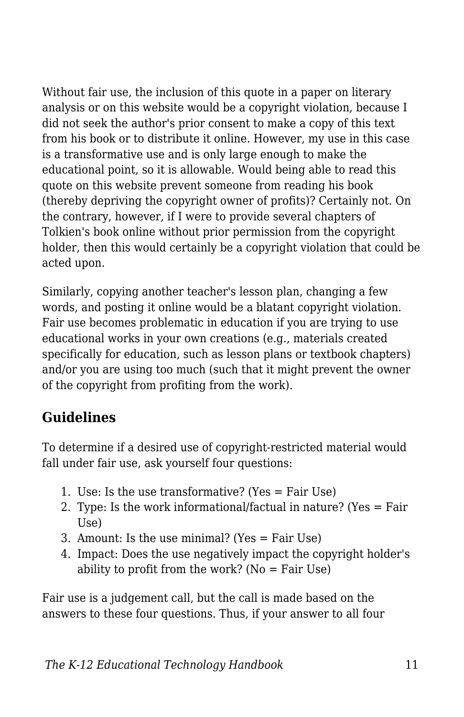Without fair use, the inclusion of this quote in a paper on literary analysis or on this website would be a copyright violation, because I did not seek the author's prior consent to make a copy of this text from his book or to distribute it online. However, my use in this case is a transformative use and is only large enough to make the educational point, so it is allowable. Would being able to read this quote on this website prevent someone from reading his book (thereby depriving the copyright owner of profits)? Certainly not. On the contrary, however, if I were to provide several chapters of Tolkien's book online without prior permission from the copyright holder, then this would certainly be a copyright violation that could be acted upon.

Similarly, copying another teacher's lesson plan, changing a few words, and posting it online would be a blatant copyright violation. Fair use becomes problematic in education if you are trying to use educational works in your own creations (e.g., materials created specifically for education, such as lesson plans or textbook chapters) and/or you are using too much (such that it might prevent the owner of the copyright from profiting from the work).

# **Guidelines**

To determine if a desired use of copyright-restricted material would fall under fair use, ask yourself four questions:

- 1. Use: Is the use transformative? (Yes = Fair Use)
- 2. Type: Is the work informational/factual in nature? (Yes = Fair Use)
- 3. Amount: Is the use minimal? (Yes = Fair Use)
- 4. Impact: Does the use negatively impact the copyright holder's ability to profit from the work? ( $No = Fair Use$ )

Fair use is a judgement call, but the call is made based on the answers to these four questions. Thus, if your answer to all four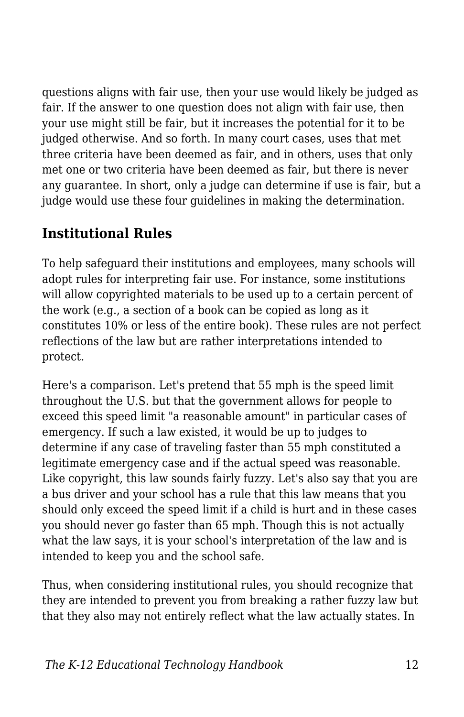questions aligns with fair use, then your use would likely be judged as fair. If the answer to one question does not align with fair use, then your use might still be fair, but it increases the potential for it to be judged otherwise. And so forth. In many court cases, uses that met three criteria have been deemed as fair, and in others, uses that only met one or two criteria have been deemed as fair, but there is never any guarantee. In short, only a judge can determine if use is fair, but a judge would use these four guidelines in making the determination.

## **Institutional Rules**

To help safeguard their institutions and employees, many schools will adopt rules for interpreting fair use. For instance, some institutions will allow copyrighted materials to be used up to a certain percent of the work (e.g., a section of a book can be copied as long as it constitutes 10% or less of the entire book). These rules are not perfect reflections of the law but are rather interpretations intended to protect.

Here's a comparison. Let's pretend that 55 mph is the speed limit throughout the U.S. but that the government allows for people to exceed this speed limit "a reasonable amount" in particular cases of emergency. If such a law existed, it would be up to judges to determine if any case of traveling faster than 55 mph constituted a legitimate emergency case and if the actual speed was reasonable. Like copyright, this law sounds fairly fuzzy. Let's also say that you are a bus driver and your school has a rule that this law means that you should only exceed the speed limit if a child is hurt and in these cases you should never go faster than 65 mph. Though this is not actually what the law says, it is your school's interpretation of the law and is intended to keep you and the school safe.

Thus, when considering institutional rules, you should recognize that they are intended to prevent you from breaking a rather fuzzy law but that they also may not entirely reflect what the law actually states. In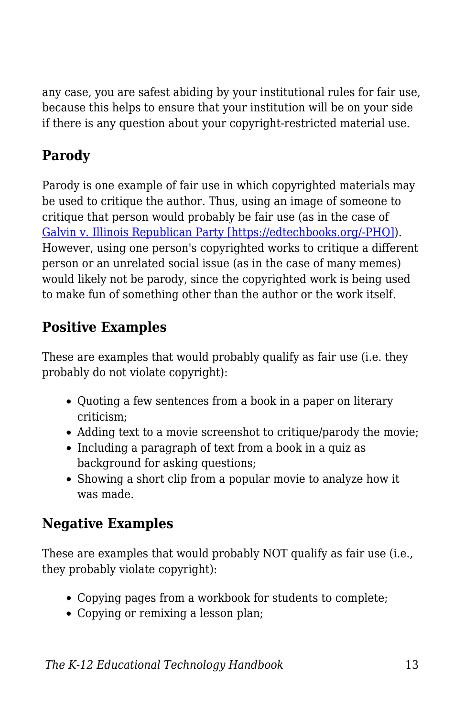any case, you are safest abiding by your institutional rules for fair use, because this helps to ensure that your institution will be on your side if there is any question about your copyright-restricted material use.

# **Parody**

Parody is one example of fair use in which copyrighted materials may be used to critique the author. Thus, using an image of someone to critique that person would probably be fair use (as in the case of [Galvin v. Illinois Republican Party \[https://edtechbooks.org/-PHQ\]\)](http://copyright.gov/fair-use/summaries/galvin-republican-party-2015.pdf). However, using one person's copyrighted works to critique a different person or an unrelated social issue (as in the case of many memes) would likely not be parody, since the copyrighted work is being used to make fun of something other than the author or the work itself.

## **Positive Examples**

These are examples that would probably qualify as fair use (i.e. they probably do not violate copyright):

- Quoting a few sentences from a book in a paper on literary criticism;
- Adding text to a movie screenshot to critique/parody the movie;
- Including a paragraph of text from a book in a quiz as background for asking questions;
- Showing a short clip from a popular movie to analyze how it was made.

# **Negative Examples**

These are examples that would probably NOT qualify as fair use (i.e., they probably violate copyright):

- Copying pages from a workbook for students to complete;
- Copying or remixing a lesson plan;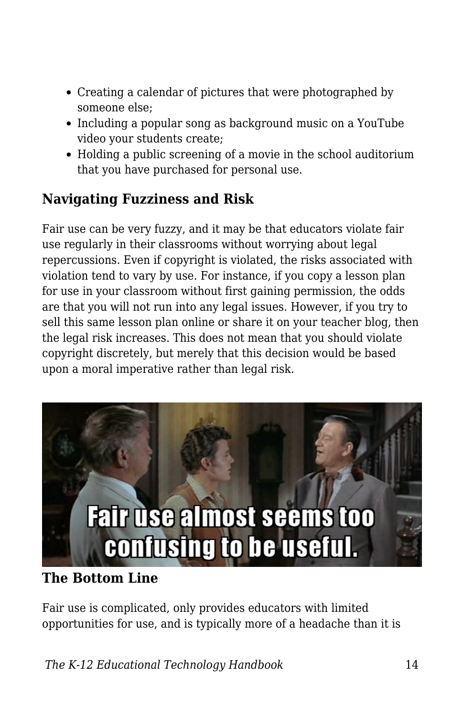- Creating a calendar of pictures that were photographed by someone else;
- Including a popular song as background music on a YouTube video your students create;
- Holding a public screening of a movie in the school auditorium that you have purchased for personal use.

## **Navigating Fuzziness and Risk**

Fair use can be very fuzzy, and it may be that educators violate fair use regularly in their classrooms without worrying about legal repercussions. Even if copyright is violated, the risks associated with violation tend to vary by use. For instance, if you copy a lesson plan for use in your classroom without first gaining permission, the odds are that you will not run into any legal issues. However, if you try to sell this same lesson plan online or share it on your teacher blog, then the legal risk increases. This does not mean that you should violate copyright discretely, but merely that this decision would be based upon a moral imperative rather than legal risk.



## **The Bottom Line**

Fair use is complicated, only provides educators with limited opportunities for use, and is typically more of a headache than it is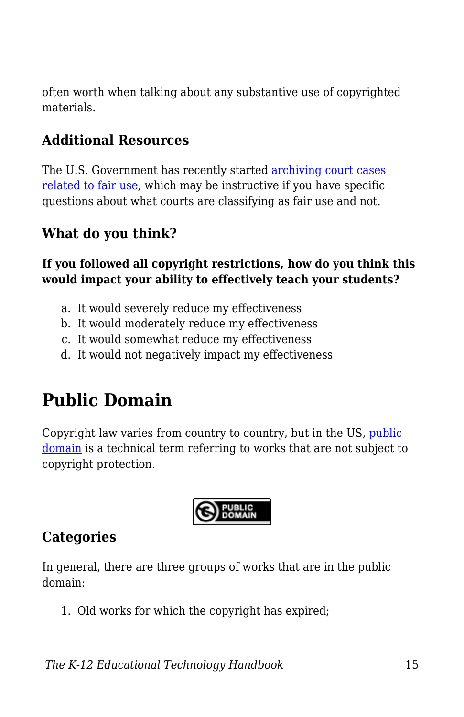often worth when talking about any substantive use of copyrighted materials.

## **Additional Resources**

The U.S. Government has recently started [archiving court cases](http://copyright.gov/fair-use/fair-index.html) [related to fair use,](http://copyright.gov/fair-use/fair-index.html) which may be instructive if you have specific questions about what courts are classifying as fair use and not.

## **What do you think?**

**If you followed all copyright restrictions, how do you think this would impact your ability to effectively teach your students?**

- a. It would severely reduce my effectiveness
- b. It would moderately reduce my effectiveness
- c. It would somewhat reduce my effectiveness
- d. It would not negatively impact my effectiveness

# **Public Domain**

Copyright law varies from country to country, but in the US, [public](https://edtechbooks.org/k12handbook/glossary#public_domain) [domain](https://edtechbooks.org/k12handbook/glossary#public_domain) is a technical term referring to works that are not subject to copyright protection.



## **Categories**

In general, there are three groups of works that are in the public domain:

1. Old works for which the copyright has expired;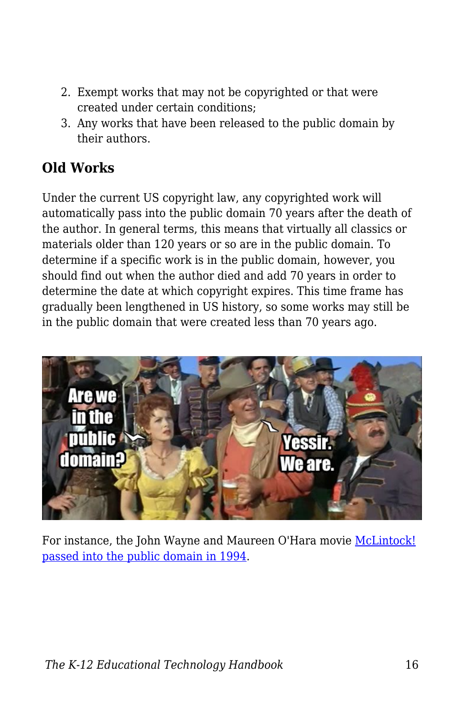- 2. Exempt works that may not be copyrighted or that were created under certain conditions;
- 3. Any works that have been released to the public domain by their authors.

# **Old Works**

Under the current US copyright law, any copyrighted work will automatically pass into the public domain 70 years after the death of the author. In general terms, this means that virtually all classics or materials older than 120 years or so are in the public domain. To determine if a specific work is in the public domain, however, you should find out when the author died and add 70 years in order to determine the date at which copyright expires. This time frame has gradually been lengthened in US history, so some works may still be in the public domain that were created less than 70 years ago.



For instance, the John Wayne and Maureen O'Hara movie [McLintock!](http://en.wikipedia.org/wiki/McLintock!) [passed into the public domain in 1994](http://en.wikipedia.org/wiki/McLintock!).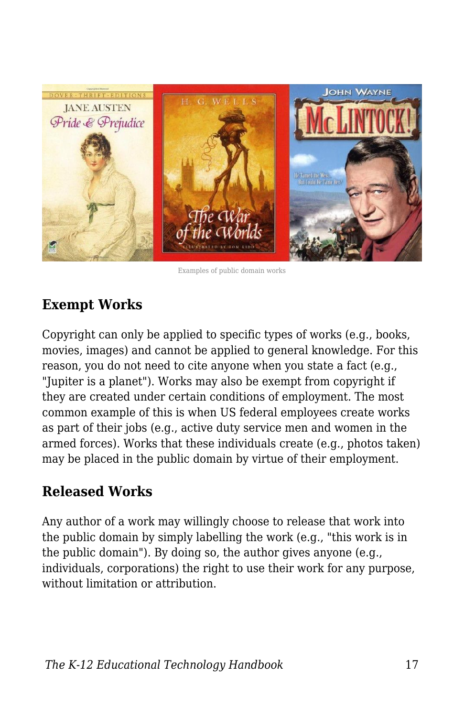

Examples of public domain works

## **Exempt Works**

Copyright can only be applied to specific types of works (e.g., books, movies, images) and cannot be applied to general knowledge. For this reason, you do not need to cite anyone when you state a fact (e.g., "Jupiter is a planet"). Works may also be exempt from copyright if they are created under certain conditions of employment. The most common example of this is when US federal employees create works as part of their jobs (e.g., active duty service men and women in the armed forces). Works that these individuals create (e.g., photos taken) may be placed in the public domain by virtue of their employment.

## **Released Works**

Any author of a work may willingly choose to release that work into the public domain by simply labelling the work (e.g., "this work is in the public domain"). By doing so, the author gives anyone (e.g., individuals, corporations) the right to use their work for any purpose, without limitation or attribution.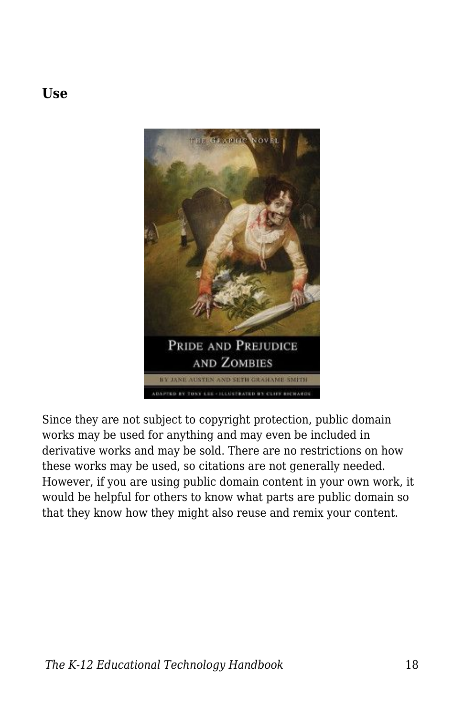

**Use**

Since they are not subject to copyright protection, public domain works may be used for anything and may even be included in derivative works and may be sold. There are no restrictions on how these works may be used, so citations are not generally needed. However, if you are using public domain content in your own work, it would be helpful for others to know what parts are public domain so that they know how they might also reuse and remix your content.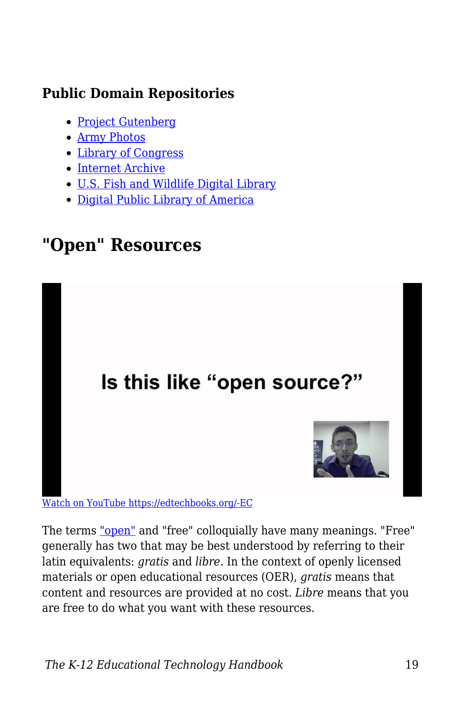## **Public Domain Repositories**

- [Project Gutenberg](http://www.gutenberg.org/)
- [Army Photos](http://www.army.mil/media/)
- [Library of Congress](http://www.loc.gov/)
- [Internet Archive](https://archive.org/)
- [U.S. Fish and Wildlife Digital Library](http://digitalmedia.fws.gov/)
- [Digital Public Library of America](http://dp.la/)

# **"Open" Resources**



[Watch on YouTube https://edtechbooks.org/-EC](https://www.youtube.com/embed/2gGA124fFgs?autoplay=1&rel=0&showinfo=0&modestbranding=1)

The terms ["open"](https://edtechbooks.org/k12handbook/glossary#open) and "free" colloquially have many meanings. "Free" generally has two that may be best understood by referring to their latin equivalents: *gratis* and *libre*. In the context of openly licensed materials or open educational resources (OER), *gratis* means that content and resources are provided at no cost. *Libre* means that you are free to do what you want with these resources.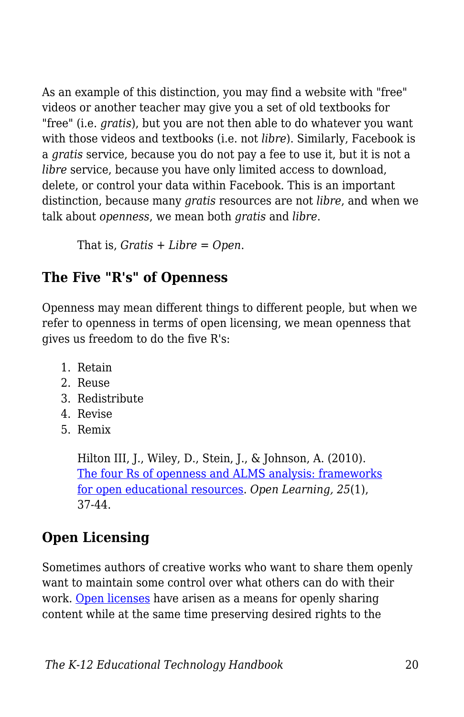As an example of this distinction, you may find a website with "free" videos or another teacher may give you a set of old textbooks for "free" (i.e. *gratis*), but you are not then able to do whatever you want with those videos and textbooks (i.e. not *libre*). Similarly, Facebook is a *gratis* service, because you do not pay a fee to use it, but it is not a *libre* service, because you have only limited access to download, delete, or control your data within Facebook. This is an important distinction, because many *gratis* resources are not *libre*, and when we talk about *openness*, we mean both *gratis* and *libre*.

That is, *Gratis + Libre = Open*.

## **The Five "R's" of Openness**

Openness may mean different things to different people, but when we refer to openness in terms of open licensing, we mean openness that gives us freedom to do the five R's:

- 1. Retain
- 2. Reuse
- 3. Redistribute
- 4. Revise
- 5. Remix

Hilton III, J., Wiley, D., Stein, J., & Johnson, A. (2010). [The four Rs of openness and ALMS analysis: frameworks](http://www.tandfonline.com/doi/abs/10.1080/02680510903482132#.VUlLRflVhBc) [for open educational resources.](http://www.tandfonline.com/doi/abs/10.1080/02680510903482132#.VUlLRflVhBc) *Open Learning, 25*(1), 37-44.

# **Open Licensing**

Sometimes authors of creative works who want to share them openly want to maintain some control over what others can do with their work. [Open licenses](https://edtechbooks.org/k12handbook/glossary#open_licenses) have arisen as a means for openly sharing content while at the same time preserving desired rights to the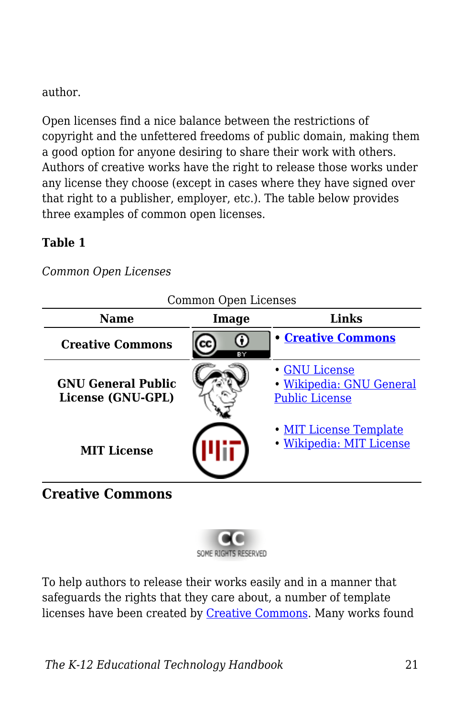### author.

Open licenses find a nice balance between the restrictions of copyright and the unfettered freedoms of public domain, making them a good option for anyone desiring to share their work with others. Authors of creative works have the right to release those works under any license they choose (except in cases where they have signed over that right to a publisher, employer, etc.). The table below provides three examples of common open licenses.

### **Table 1**

*Common Open Licenses*

| <b>Name</b>                                    | COMMON Open Licenses<br>Links<br>Image |                                                                    |
|------------------------------------------------|----------------------------------------|--------------------------------------------------------------------|
| <b>Creative Commons</b>                        | ΒY                                     | <b>• Creative Commons</b>                                          |
| <b>GNU General Public</b><br>License (GNU-GPL) |                                        | · GNU License<br>· Wikipedia: GNU General<br><b>Public License</b> |
| <b>MIT License</b>                             |                                        | • MIT License Template<br>· Wikipedia: MIT License                 |

Common Open Licenses

## **Creative Commons**



To help authors to release their works easily and in a manner that safeguards the rights that they care about, a number of template licenses have been created by [Creative Commons.](http://creativecommons.org/) Many works found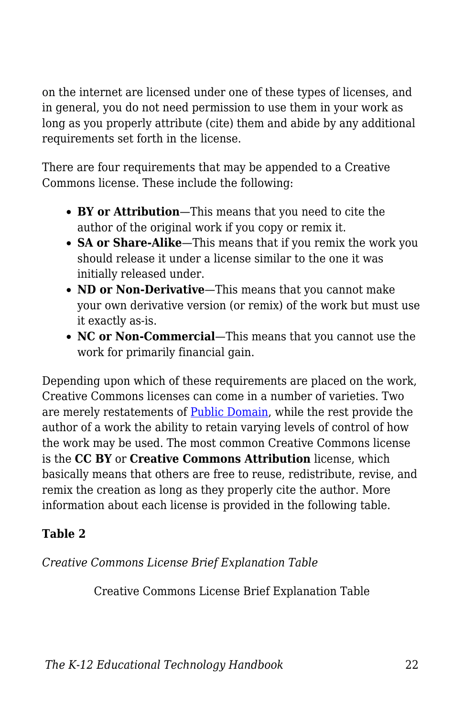on the internet are licensed under one of these types of licenses, and in general, you do not need permission to use them in your work as long as you properly attribute (cite) them and abide by any additional requirements set forth in the license.

There are four requirements that may be appended to a Creative Commons license. These include the following:

- **BY or Attribution**—This means that you need to cite the author of the original work if you copy or remix it.
- **SA or Share-Alike**—This means that if you remix the work you should release it under a license similar to the one it was initially released under.
- ND or Non-Derivative—This means that you cannot make your own derivative version (or remix) of the work but must use it exactly as-is.
- **NC or Non-Commercial**—This means that you cannot use the work for primarily financial gain.

Depending upon which of these requirements are placed on the work, Creative Commons licenses can come in a number of varieties. Two are merely restatements of [Public Domain](https://edtechbooks.org/k12handbook/glossary#public_domain), while the rest provide the author of a work the ability to retain varying levels of control of how the work may be used. The most common Creative Commons license is the **CC BY** or **Creative Commons Attribution** license, which basically means that others are free to reuse, redistribute, revise, and remix the creation as long as they properly cite the author. More information about each license is provided in the following table.

## **Table 2**

## *Creative Commons License Brief Explanation Table*

Creative Commons License Brief Explanation Table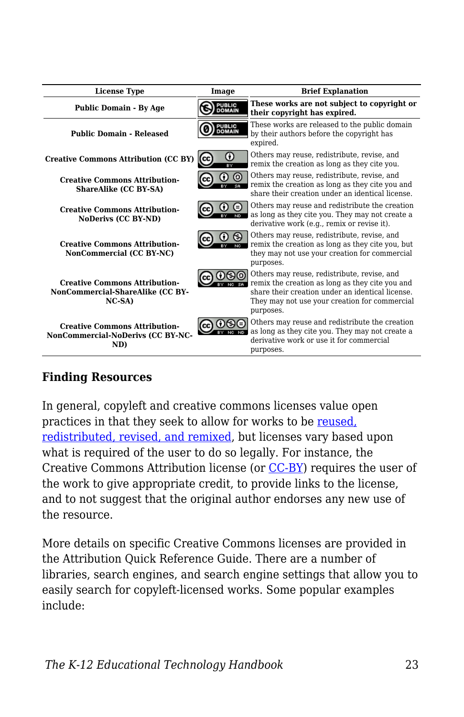| <b>License Type</b>                                                                 | Image                          | <b>Brief Explanation</b>                                                                                                                                                                                         |
|-------------------------------------------------------------------------------------|--------------------------------|------------------------------------------------------------------------------------------------------------------------------------------------------------------------------------------------------------------|
| <b>Public Domain - By Age</b>                                                       | <b>PUBLIC</b><br>DOMAIN        | These works are not subject to copyright or<br>their copyright has expired.                                                                                                                                      |
| <b>Public Domain - Released</b>                                                     | <b>PUBLIC</b><br><b>DOMAIN</b> | These works are released to the public domain<br>by their authors before the copyright has<br>expired.                                                                                                           |
| <b>Creative Commons Attribution (CC BY)</b>                                         | Œ<br>(cc                       | Others may reuse, redistribute, revise, and<br>remix the creation as long as they cite you.                                                                                                                      |
| <b>Creative Commons Attribution-</b><br>ShareAlike (CC BY-SA)                       |                                | Others may reuse, redistribute, revise, and<br>remix the creation as long as they cite you and<br>share their creation under an identical license.                                                               |
| <b>Creative Commons Attribution-</b><br>NoDerivs (CC BY-ND)                         |                                | Others may reuse and redistribute the creation<br>as long as they cite you. They may not create a<br>derivative work (e.g., remix or revise it).                                                                 |
| <b>Creative Commons Attribution-</b><br>NonCommercial (CC BY-NC)                    |                                | Others may reuse, redistribute, revise, and<br>remix the creation as long as they cite you, but<br>they may not use your creation for commercial<br>purposes.                                                    |
| <b>Creative Commons Attribution-</b><br>NonCommercial-ShareAlike (CC BY-<br>$NC-SA$ |                                | Others may reuse, redistribute, revise, and<br>remix the creation as long as they cite you and<br>share their creation under an identical license.<br>They may not use your creation for commercial<br>purposes. |
| <b>Creative Commons Attribution-</b><br>NonCommercial-NoDerivs (CC BY-NC-<br>ND)    | (cc)                           | Others may reuse and redistribute the creation<br>as long as they cite you. They may not create a<br>derivative work or use it for commercial<br>purposes.                                                       |

#### **Finding Resources**

In general, copyleft and creative commons licenses value open practices in that they seek to allow for works to be [reused,](http://contentdm.lib.byu.edu/cdm/ref/collection/IR/id/774) [redistributed, revised, and remixed,](http://contentdm.lib.byu.edu/cdm/ref/collection/IR/id/774) but licenses vary based upon what is required of the user to do so legally. For instance, the Creative Commons Attribution license (or [CC-BY\)](http://creativecommons.org/licenses/by/3.0/us/) requires the user of the work to give appropriate credit, to provide links to the license, and to not suggest that the original author endorses any new use of the resource.

More details on specific Creative Commons licenses are provided in the Attribution Quick Reference Guide. There are a number of libraries, search engines, and search engine settings that allow you to easily search for copyleft-licensed works. Some popular examples include: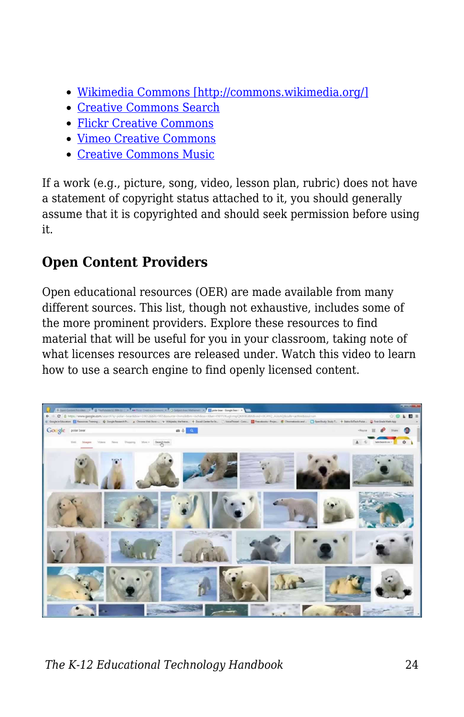- [Wikimedia Commons \[http://commons.wikimedia.org/\]](http://commons.wikimedia.org/)
- [Creative Commons Search](http://search.creativecommons.org/)
- [Flickr Creative Commons](https://edtechbooks.org/-LF)
- [Vimeo Creative Commons](https://edtechbooks.org/-sA)
- [Creative Commons Music](https://edtechbooks.org/-JJ)

If a work (e.g., picture, song, video, lesson plan, rubric) does not have a statement of copyright status attached to it, you should generally assume that it is copyrighted and should seek permission before using it.

## **Open Content Providers**

Open educational resources (OER) are made available from many different sources. This list, though not exhaustive, includes some of the more prominent providers. Explore these resources to find material that will be useful for you in your classroom, taking note of what licenses resources are released under. Watch this video to learn how to use a search engine to find openly licensed content.

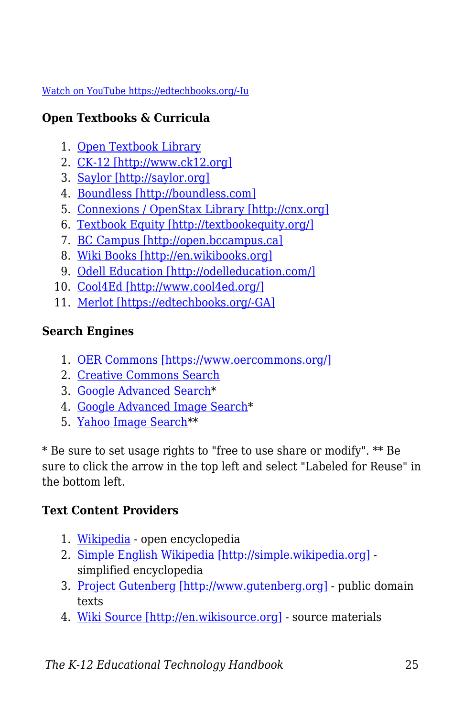#### [Watch on YouTube https://edtechbooks.org/-Iu](https://www.youtube.com/embed/vQfyDFvLHZE?autoplay=1&rel=0&showinfo=0&modestbranding=1)

## **Open Textbooks & Curricula**

- 1. [Open Textbook Library](https://open.umn.edu/opentextbooks/)
- 2. [CK-12 \[http://www.ck12.org\]](http://www.ck12.org)
- 3. [Saylor \[http://saylor.org\]](http://saylor.org)
- 4. [Boundless \[http://boundless.com\]](http://boundless.com)
- 5. [Connexions / OpenStax Library \[http://cnx.org\]](http://cnx.org)
- 6. [Textbook Equity \[http://textbookequity.org/\]](http://textbookequity.org/)
- 7. [BC Campus \[http://open.bccampus.ca\]](http://open.bccampus.ca)
- 8. [Wiki Books \[http://en.wikibooks.org\]](http://en.wikibooks.org)
- 9. [Odell Education \[http://odelleducation.com/\]](http://odelleducation.com/)
- 10. [Cool4Ed \[http://www.cool4ed.org/\]](http://www.cool4ed.org/)
- 11. [Merlot \[https://edtechbooks.org/-GA\]](http://www.merlot.org/merlot/index.htm)

## **Search Engines**

- 1. [OER Commons \[https://www.oercommons.org/\]](https://www.oercommons.org/)
- 2. [Creative Commons Search](http://search.creativecommons.org/)
- 3. [Google Advanced Search](https://www.google.com/advanced_search)\*
- 4. [Google Advanced Image Search\\*](http://www.google.com/advanced_image_search)
- 5. [Yahoo Image Search](http://images.search.yahoo.com)\*\*

\* Be sure to set usage rights to "free to use share or modify". \*\* Be sure to click the arrow in the top left and select "Labeled for Reuse" in the bottom left.

## **Text Content Providers**

- 1. [Wikipedia](https://edtechbooks.org/-nW)  open encyclopedia
- 2. [Simple English Wikipedia \[http://simple.wikipedia.org\]](http://simple.wikipedia.org) simplified encyclopedia
- 3. [Project Gutenberg \[http://www.gutenberg.org\]](http://www.gutenberg.org)  public domain texts
- 4. [Wiki Source \[http://en.wikisource.org\]](http://en.wikisource.org)  source materials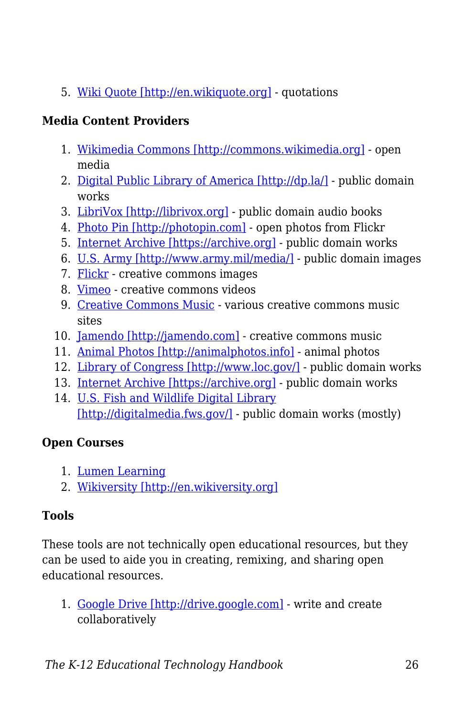5. [Wiki Quote \[http://en.wikiquote.org\]](http://en.wikiquote.org) - quotations

## **Media Content Providers**

- 1. [Wikimedia Commons \[http://commons.wikimedia.org\]](http://commons.wikimedia.org) open media
- 2. [Digital Public Library of America \[http://dp.la/\]](http://dp.la/) public domain works
- 3. [LibriVox \[http://librivox.org\]](http://librivox.org) public domain audio books
- 4. [Photo Pin \[http://photopin.com\]](http://photopin.com)  open photos from Flickr
- 5. [Internet Archive \[https://archive.org\]](https://archive.org)  public domain works
- 6. [U.S. Army \[http://www.army.mil/media/\]](http://www.army.mil/media/)  public domain images
- 7. [Flickr](https://edtechbooks.org/-LF)  creative commons images
- 8. [Vimeo](https://edtechbooks.org/-sA)  creative commons videos
- 9. [Creative Commons Music](https://edtechbooks.org/-JJ) various creative commons music sites
- 10. [Jamendo \[http://jamendo.com\]](http://jamendo.com) creative commons music
- 11. [Animal Photos \[http://animalphotos.info\]](http://animalphotos.info) animal photos
- 12. [Library of Congress \[http://www.loc.gov/\]](http://www.loc.gov/) public domain works
- 13. [Internet Archive \[https://archive.org\]](https://archive.org)  public domain works
- 14. [U.S. Fish and Wildlife Digital Library](http://digitalmedia.fws.gov/) [\[http://digitalmedia.fws.gov/\]](http://digitalmedia.fws.gov/) - public domain works (mostly)

## **Open Courses**

- 1. [Lumen Learning](https://edtechbooks.org/-cI)
- 2. [Wikiversity \[http://en.wikiversity.org\]](http://en.wikiversity.org)

## **Tools**

These tools are not technically open educational resources, but they can be used to aide you in creating, remixing, and sharing open educational resources.

1. [Google Drive \[http://drive.google.com\]](http://drive.google.com) - write and create collaboratively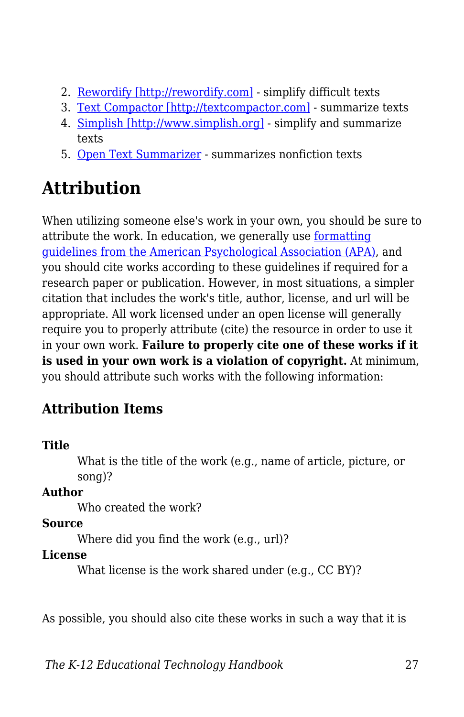- 2. [Rewordify \[http://rewordify.com\]](http://rewordify.com) simplify difficult texts
- 3. [Text Compactor \[http://textcompactor.com\]](http://textcompactor.com)  summarize texts
- 4. [Simplish \[http://www.simplish.org\]](http://www.simplish.org)  simplify and summarize texts
- 5. [Open Text Summarizer](https://edtechbooks.org/-vL)  summarizes nonfiction texts

# **Attribution**

When utilizing someone else's work in your own, you should be sure to attribute the work. In education, we generally use [formatting](http://www.apastyle.org/) [guidelines from the American Psychological Association \(APA\),](http://www.apastyle.org/) and you should cite works according to these guidelines if required for a research paper or publication. However, in most situations, a simpler citation that includes the work's title, author, license, and url will be appropriate. All work licensed under an open license will generally require you to properly attribute (cite) the resource in order to use it in your own work. **Failure to properly cite one of these works if it is used in your own work is a violation of copyright.** At minimum, you should attribute such works with the following information:

# **Attribution Items**

## **Title**

What is the title of the work (e.g., name of article, picture, or song)?

## **Author**

Who created the work?

## **Source**

Where did you find the work (e.g., url)?

## **License**

What license is the work shared under (e.g., CC BY)?

As possible, you should also cite these works in such a way that it is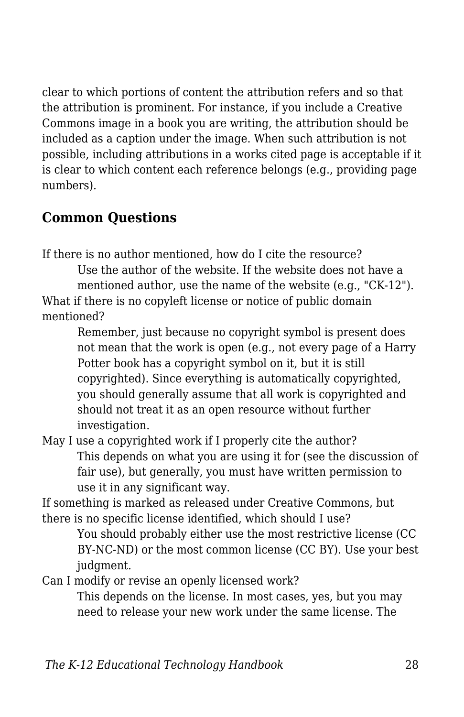clear to which portions of content the attribution refers and so that the attribution is prominent. For instance, if you include a Creative Commons image in a book you are writing, the attribution should be included as a caption under the image. When such attribution is not possible, including attributions in a works cited page is acceptable if it is clear to which content each reference belongs (e.g., providing page numbers).

## **Common Questions**

If there is no author mentioned, how do I cite the resource?

Use the author of the website. If the website does not have a mentioned author, use the name of the website (e.g., "CK-12"). What if there is no copyleft license or notice of public domain mentioned?

Remember, just because no copyright symbol is present does not mean that the work is open (e.g., not every page of a Harry Potter book has a copyright symbol on it, but it is still copyrighted). Since everything is automatically copyrighted, you should generally assume that all work is copyrighted and should not treat it as an open resource without further investigation.

May I use a copyrighted work if I properly cite the author? This depends on what you are using it for (see the discussion of fair use), but generally, you must have written permission to use it in any significant way.

If something is marked as released under Creative Commons, but there is no specific license identified, which should I use?

You should probably either use the most restrictive license (CC BY-NC-ND) or the most common license (CC BY). Use your best judgment.

Can I modify or revise an openly licensed work?

This depends on the license. In most cases, yes, but you may need to release your new work under the same license. The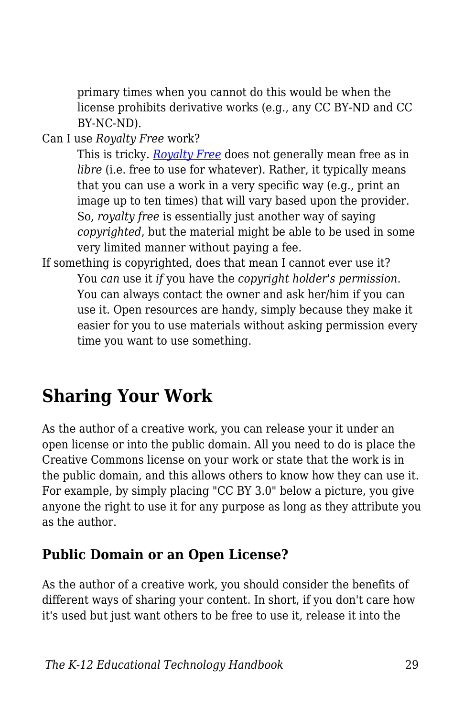primary times when you cannot do this would be when the license prohibits derivative works (e.g., any CC BY-ND and CC BY-NC-ND).

Can I use *Royalty Free* work?

This is tricky. *[Royalty Free](https://edtechbooks.org/k12handbook/glossary#royalty_free)* does not generally mean free as in *libre* (*i.e.* free to use for whatever). Rather, it typically means that you can use a work in a very specific way (e.g., print an image up to ten times) that will vary based upon the provider. So, *royalty free* is essentially just another way of saying *copyrighted*, but the material might be able to be used in some very limited manner without paying a fee.

If something is copyrighted, does that mean I cannot ever use it? You *can* use it *if* you have the *copyright holder's permission*. You can always contact the owner and ask her/him if you can use it. Open resources are handy, simply because they make it easier for you to use materials without asking permission every time you want to use something.

# **Sharing Your Work**

As the author of a creative work, you can release your it under an open license or into the public domain. All you need to do is place the Creative Commons license on your work or state that the work is in the public domain, and this allows others to know how they can use it. For example, by simply placing "CC BY 3.0" below a picture, you give anyone the right to use it for any purpose as long as they attribute you as the author.

## **Public Domain or an Open License?**

As the author of a creative work, you should consider the benefits of different ways of sharing your content. In short, if you don't care how it's used but just want others to be free to use it, release it into the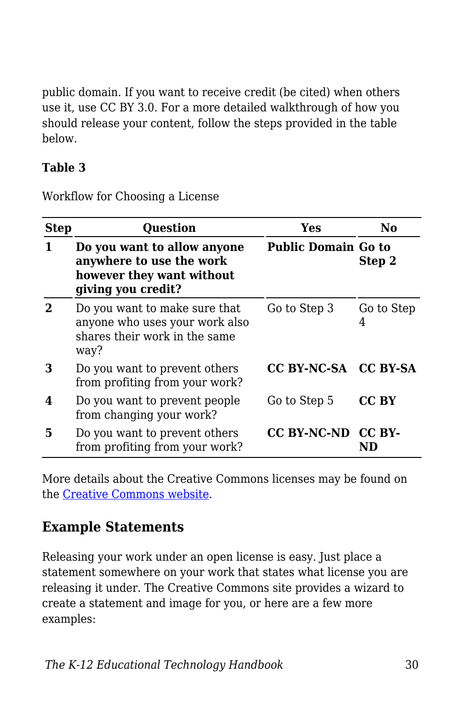public domain. If you want to receive credit (be cited) when others use it, use CC BY 3.0. For a more detailed walkthrough of how you should release your content, follow the steps provided in the table below.

### **Table 3**

Workflow for Choosing a License

| <b>Step</b> | <b>Question</b>                                                                                            | Yes                        | No              |
|-------------|------------------------------------------------------------------------------------------------------------|----------------------------|-----------------|
|             | Do you want to allow anyone<br>anywhere to use the work<br>however they want without<br>giving you credit? | <b>Public Domain Go to</b> | Step 2          |
|             | Do you want to make sure that<br>anyone who uses your work also<br>shares their work in the same<br>way?   | Go to Step 3               | Go to Step<br>4 |
| З           | Do you want to prevent others<br>from profiting from your work?                                            | CC BY-NC-SA CC BY-SA       |                 |
| 4           | Do you want to prevent people<br>from changing your work?                                                  | Go to Step 5               | CC BY           |
| 5           | Do you want to prevent others<br>from profiting from your work?                                            | CC BY-NC-ND CC BY-         |                 |

More details about the Creative Commons licenses may be found on the [Creative Commons website](https://creativecommons.org/).

## **Example Statements**

Releasing your work under an open license is easy. Just place a statement somewhere on your work that states what license you are releasing it under. The Creative Commons site provides a wizard to create a statement and image for you, or here are a few more examples: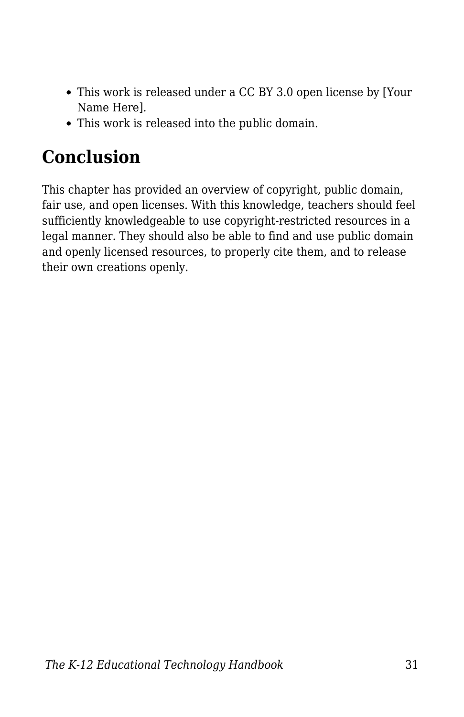- This work is released under a CC BY 3.0 open license by [Your Name Here].
- This work is released into the public domain.

# **Conclusion**

This chapter has provided an overview of copyright, public domain, fair use, and open licenses. With this knowledge, teachers should feel sufficiently knowledgeable to use copyright-restricted resources in a legal manner. They should also be able to find and use public domain and openly licensed resources, to properly cite them, and to release their own creations openly.